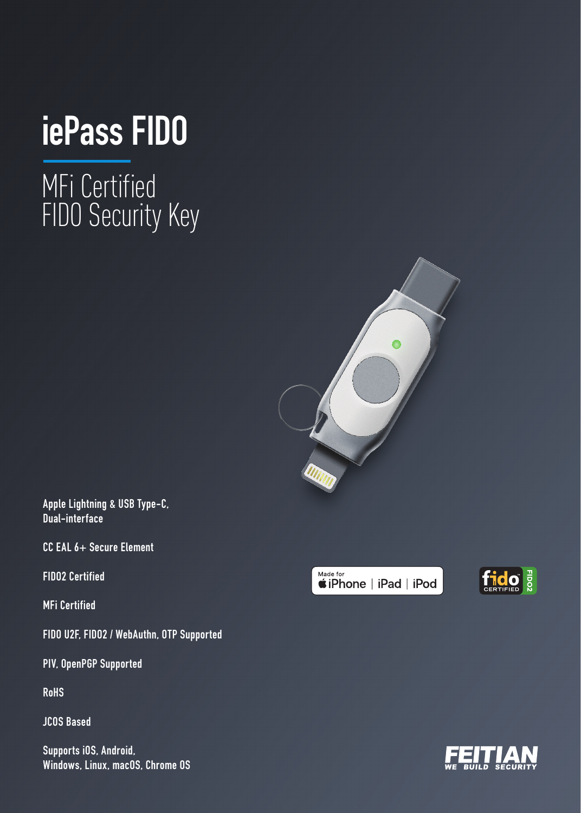## **iePass FIDO**

MFi Certified FIDO Security Key



**Apple Lightning & USB Type-C, Dual-interface**

**CC EAL 6+ Secure Element**

**FIDO2 Certified**

**MFi Certified**

**FIDO U2F, FIDO2 / WebAuthn, OTP Supported**

**PIV, OpenPGP Supported**

**RoHS**

**JCOS Based**

**Supports iOS, Android, Windows, Linux, macOS, Chrome OS**